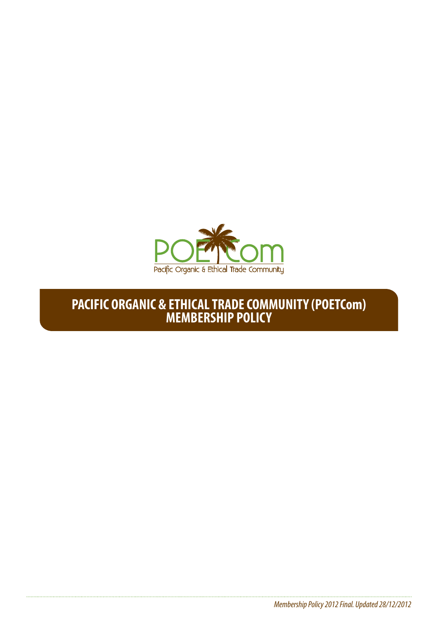

# **PACIFIC ORGANIC & ETHICAL TRADE COMMUNITY (POETCom) MEMBERSHIP POLICY**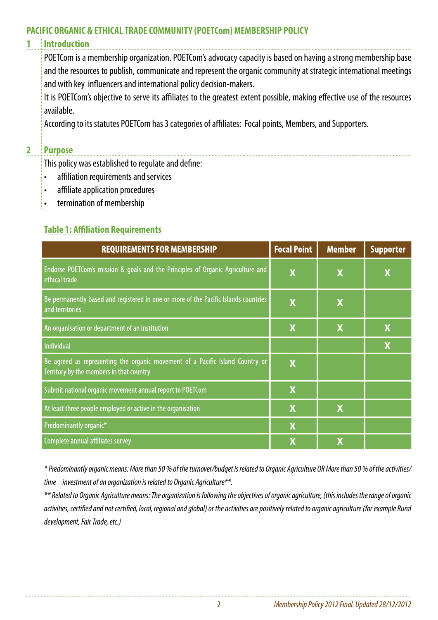#### **PACIFIC ORGANIC & ETHICAL TRADE COMMUNITY (POETCom) MEMBERSHIP POLICY**

#### **1 Introduction**

POETCom is a membership organization. POETCom's advocacy capacity is based on having a strong membership base and the resources to publish, communicate and represent the organic community at strategic international meetings and with key influencers and international policy decision-makers.

It is POETCom's objective to serve its affiliates to the greatest extent possible, making effective use of the resources available.

According to its statutes POETCom has 3 categories of affiliates: Focal points, Members, and Supporters.

#### **2 Purpose**

This policy was established to regulate and define:

- • affiliation requirements and services
- affiliate application procedures
- • termination of membership

#### **Table 1: Affiliation Requirements**

| <b>REQUIREMENTS FOR MEMBERSHIP</b>                                                                                        | <b>Focal Point</b>      | <b>Member</b>             | <b>Supporter</b> |
|---------------------------------------------------------------------------------------------------------------------------|-------------------------|---------------------------|------------------|
| Endorse POETCom's mission & goals and the Principles of Organic Agriculture and<br>ethical trade                          | $\overline{\mathbf{X}}$ | X                         | X                |
| Be permanently based and registered in one or more of the Pacific Islands countries<br>and territories                    | $\overline{\mathbf{X}}$ | X                         |                  |
| An organisation or department of an institution                                                                           | X                       | $\boldsymbol{\mathsf{X}}$ | X                |
| Individual                                                                                                                |                         |                           | X                |
| Be agreed as representing the organic movement of a Pacific Island Country or<br>Territory by the members in that country | X                       |                           |                  |
| Submit national organic movement annual report to POETCom                                                                 | X                       |                           |                  |
| At least three people employed or active in the organisation                                                              | X                       | $\boldsymbol{\mathsf{X}}$ |                  |
| Predominantly organic*                                                                                                    | $\mathbf x$             |                           |                  |
| Complete annual affiliates survey                                                                                         | X                       | X                         |                  |

*\* Predominantly organic means: More than 50 % of the turnover/budget is related to Organic Agriculture OR More than 50 % of the activities/ time investment of an organization is related to Organic Agriculture\*\*.* 

*\*\* Related to Organic Agriculture means: The organization is following the objectives of organic agriculture, (this includes the range of organic activities, certified and not certified, local, regional and global) or the activities are positively related to organic agriculture (for example Rural development, Fair Trade, etc.)*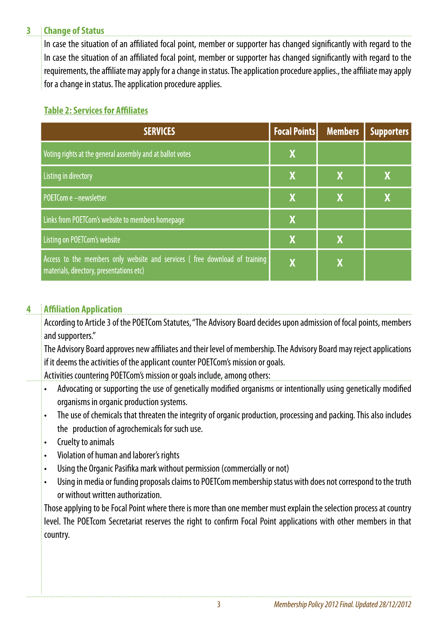#### **3 Change of Status**

In case the situation of an affiliated focal point, member or supporter has changed significantly with regard to the In case the situation of an affiliated focal point, member or supporter has changed significantly with regard to the requirements, the affiliate may apply for a change in status. The application procedure applies., the affiliate may apply for a change in status. The application procedure applies.

## **Table 2: Services for Affiliates**

| <b>SERVICES</b>                                                                                                        | <b>Focal Points</b> | <b>Members</b> | <b>Supporters</b> |
|------------------------------------------------------------------------------------------------------------------------|---------------------|----------------|-------------------|
| Voting rights at the general assembly and at ballot votes                                                              | X                   |                |                   |
| Listing in directory                                                                                                   | <b>X</b>            | X              | Χ                 |
| POETCom e -newsletter                                                                                                  | X                   | X              | X                 |
| Links from POETCom's website to members homepage                                                                       | X                   |                |                   |
| Listing on POETCom's website                                                                                           | <b>X</b>            | X              |                   |
| Access to the members only website and services (free download of training<br>materials, directory, presentations etc) | X                   | X              |                   |

## **4 Affiliation Application**

According to Article 3 of the POETCom Statutes, "The Advisory Board decides upon admission of focal points, members and supporters."

The Advisory Board approves new affiliates and their level of membership. The Advisory Board may reject applications if it deems the activities of the applicant counter POETCom's mission or goals.

Activities countering POETCom's mission or goals include, among others:

- Advocating or supporting the use of genetically modified organisms or intentionally using genetically modified organisms in organic production systems.
- The use of chemicals that threaten the integrity of organic production, processing and packing. This also includes the production of agrochemicals for such use.
- • Cruelty to animals
- Violation of human and laborer's rights
- Using the Organic Pasifika mark without permission (commercially or not)
- • Using in media or funding proposals claims to POETCom membership status with does not correspond to the truth or without written authorization.

Those applying to be Focal Point where there is more than one member must explain the selection process at country level. The POETcom Secretariat reserves the right to confirm Focal Point applications with other members in that country.